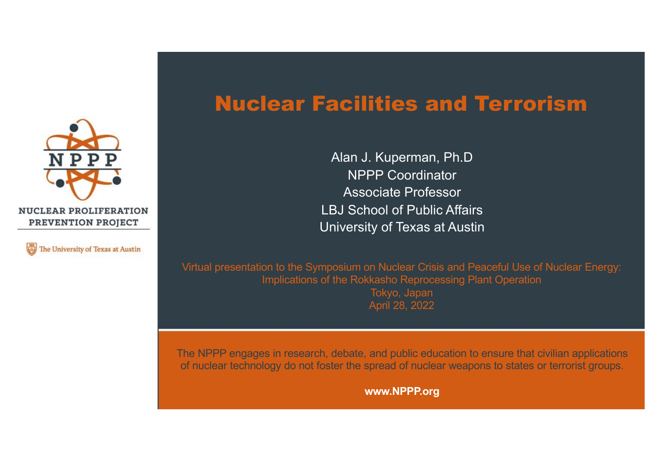



#### Nuclear Facilities and Terrorism

Alan J. Kuperman, Ph.D NPPP Coordinator Associate Professor LBJ School of Public Affairs University of Texas at Austin

Virtual presentation to the Symposium on Nuclear Crisis and Peaceful Use of Nuclear Energy: Implications of the Rokkasho Reprocessing Plant Operation

> Tokyo, Japan April 28, 2022

The NPPP engages in research, debate, and public education to ensure that civilian applications of nuclear technology do not foster the spread of nuclear weapons to states or terrorist groups.

**www.NPPP.org**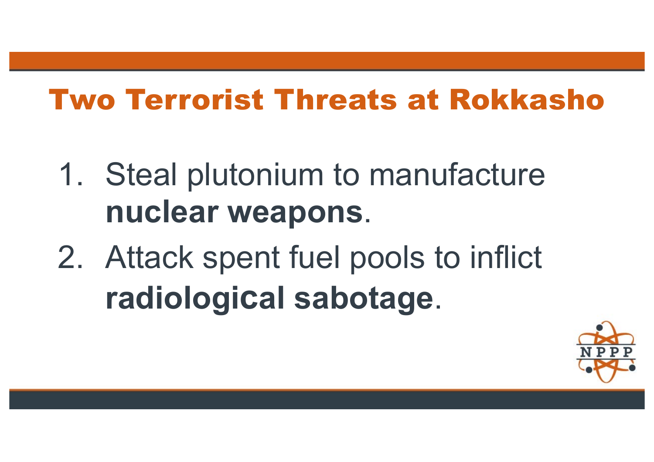### Two Terrorist Threats at Rokkasho

- 1. Steal plutonium to manufacture **nuclear weapons**.
- 2. Attack spent fuel pools to inflict **radiological sabotage**.

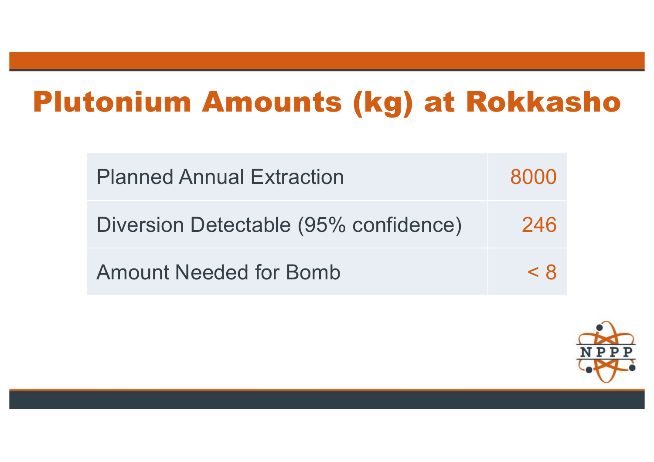## Plutonium Amounts (kg) at Rokkasho

| <b>Planned Annual Extraction</b>      | 8000 |
|---------------------------------------|------|
| Diversion Detectable (95% confidence) | 246  |
| <b>Amount Needed for Bomb</b>         | < 8  |

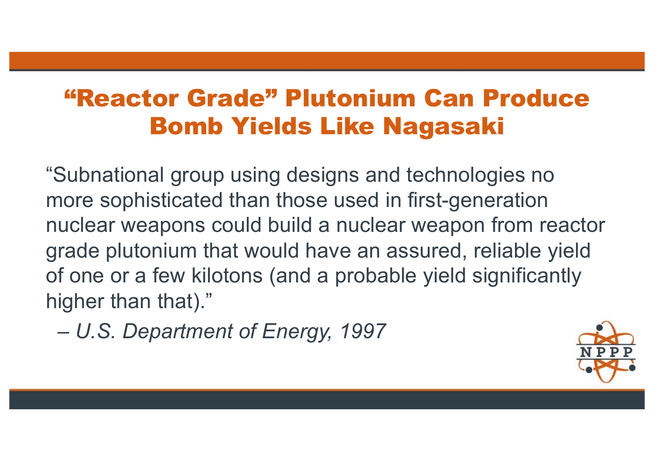#### "Reactor Grade" Plutonium Can Produce Bomb Yields Like Nagasaki

"Subnational group using designs and technologies no more sophisticated than those used in first-generation nuclear weapons could build a nuclear weapon from reactor grade plutonium that would have an assured, reliable yield of one or a few kilotons (and a probable yield significantly higher than that)."

*– U.S. Department of Energy, 1997*

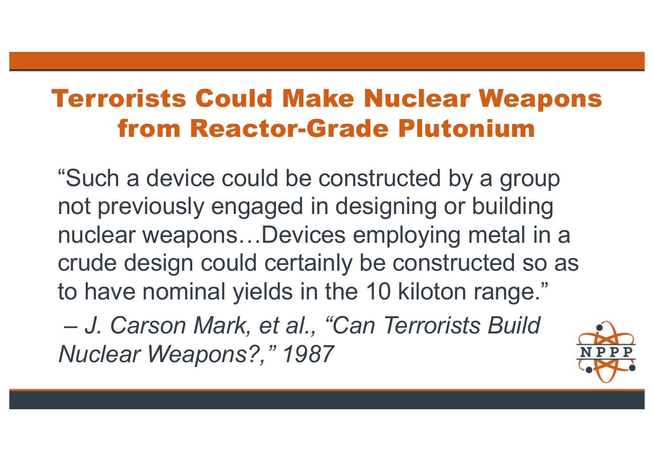### Terrorists Could Make Nuclear Weapons from Reactor-Grade Plutonium

"Such a device could be constructed by a group not previously engaged in designing or building nuclear weapons…Devices employing metal in a crude design could certainly be constructed so as to have nominal yields in the 10 kiloton range."

*– J. Carson Mark, et al., "Can Terrorists Build Nuclear Weapons?," 1987*

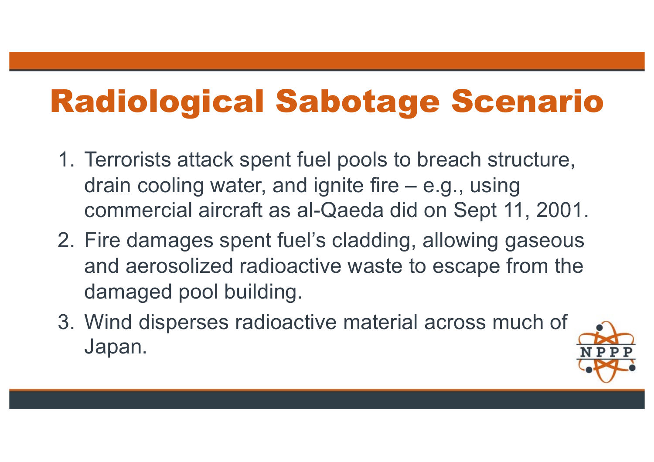# Radiological Sabotage Scenario

- 1. Terrorists attack spent fuel pools to breach structure, drain cooling water, and ignite fire – e.g., using commercial aircraft as al-Qaeda did on Sept 11, 2001.
- 2. Fire damages spent fuel's cladding, allowing gaseous and aerosolized radioactive waste to escape from the damaged pool building.
- 3. Wind disperses radioactive material across much of Japan.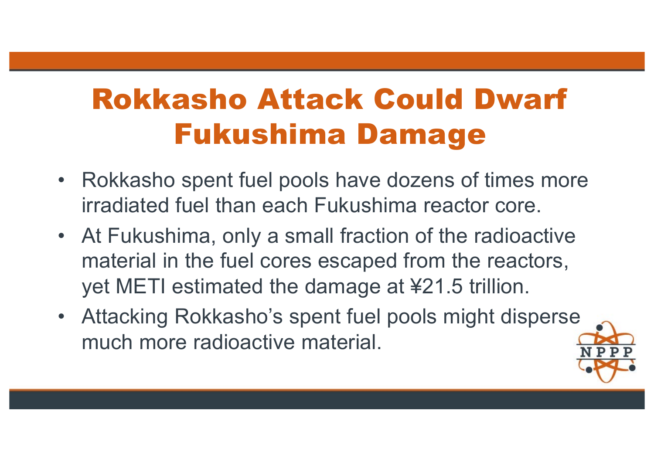## Rokkasho Attack Could Dwarf Fukushima Damage

- Rokkasho spent fuel pools have dozens of times more irradiated fuel than each Fukushima reactor core.
- At Fukushima, only a small fraction of the radioactive material in the fuel cores escaped from the reactors, yet METI estimated the damage at ¥21.5 trillion.
- Attacking Rokkasho's spent fuel pools might disperse much more radioactive material.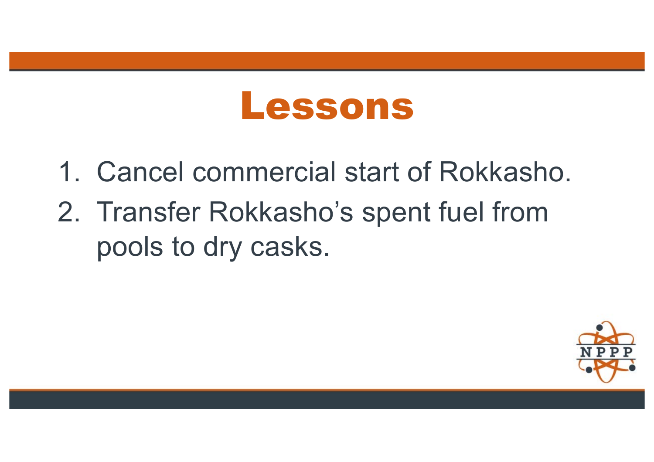# Lessons

- 1. Cancel commercial start of Rokkasho.
- 2. Transfer Rokkasho's spent fuel from pools to dry casks.

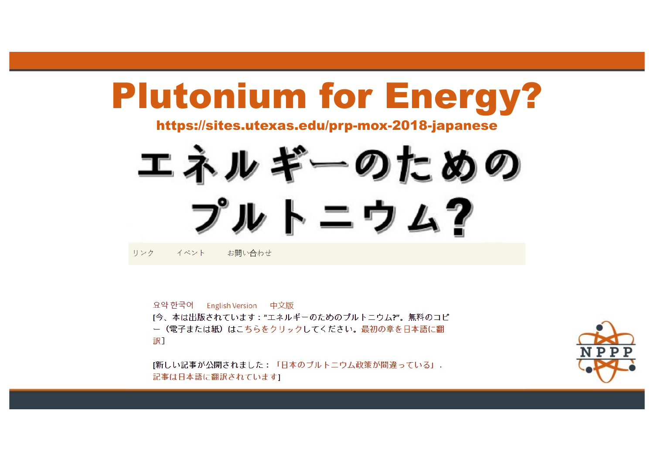# Plutonium for Energy?

https://sites.utexas.edu/prp-mox-2018-japanese

エネルギーのための プルトニウム? お問い合わせ リンク イベント

요약 한국어 English Version 中文版 「今、本は出版されています:"エネルギーのためのプルトニウム?"。無料のコピ ー(電子または紙)はこちらをクリックしてください。最初の章を日本語に翻 訳】

「新しい記事が公開されました:「日本のプルトニウム政策が間違っている」. 記事は日本語に翻訳されています]